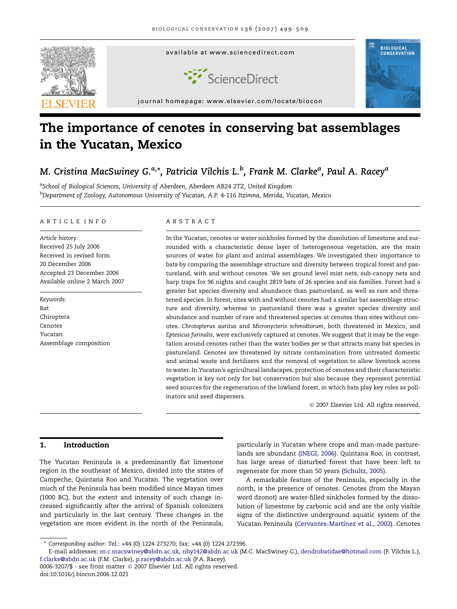

# The importance of cenotes in conserving bat assemblages in the Yucatan, Mexico

# M. Cristina MacSwiney G.<sup>a,</sup>\*, Patricia Vilchis L.<sup>b</sup>, Frank M. Clarke<sup>a</sup>, Paul A. Racey<sup>a</sup>

<sup>a</sup>School of Biological Sciences, University of Aberdeen, Aberdeen AB24 2TZ, United Kingdom <sup>b</sup>Department of Zoology, Autonomous University of Yucatan, A.P. 4-116 Itzimna, Merida, Yucatan, Mexico

#### ARTICLE INFO

Article history: Received 25 July 2006 Received in revised form 20 December 2006 Accepted 23 December 2006 Available online 2 March 2007

Keywords: Bat Chiroptera Cenotes Yucatan Assemblage composition

#### ABSTRACT

In the Yucatan, cenotes or water sinkholes formed by the dissolution of limestone and surrounded with a characteristic dense layer of heterogeneous vegetation, are the main sources of water for plant and animal assemblages. We investigated their importance to bats by comparing the assemblage structure and diversity between tropical forest and pastureland, with and without cenotes. We set ground level mist nets, sub-canopy nets and harp traps for 96 nights and caught 2819 bats of 26 species and six families. Forest had a greater bat species diversity and abundance than pastureland, as well as rare and threatened species. In forest, sites with and without cenotes had a similar bat assemblage structure and diversity, whereas in pastureland there was a greater species diversity and abundance and number of rare and threatened species at cenotes than sites without cenotes. Chrotopterus auritus and Micronycteris schmidtorum, both threatened in Mexico, and Eptesicus furinalis, were exclusively captured at cenotes. We suggest that it may be the vegetation around cenotes rather than the water bodies per se that attracts many bat species in pastureland. Cenotes are threatened by nitrate contamination from untreated domestic and animal waste and fertilizers and the removal of vegetation to allow livestock access to water. In Yucatan's agricultural landscapes, protection of cenotes and their characteristic vegetation is key not only for bat conservation but also because they represent potential seed sources for the regeneration of the lowland forest, in which bats play key roles as pollinators and seed dispersers.

- 2007 Elsevier Ltd. All rights reserved.

# 1. Introduction

The Yucatan Peninsula is a predominantly flat limestone region in the southeast of Mexico, divided into the states of Campeche, Quintana Roo and Yucatan. The vegetation over much of the Peninsula has been modified since Mayan times (1000 BC), but the extent and intensity of such change increased significantly after the arrival of Spanish colonizers and particularly in the last century. These changes in the vegetation are more evident in the north of the Peninsula,

particularly in Yucatan where crops and man-made pasturelands are abundant [\(INEGI, 2006](#page-9-0)). Quintana Roo, in contrast, has large areas of disturbed forest that have been left to regenerate for more than 50 years [\(Schultz, 2005\)](#page-9-0).

A remarkable feature of the Peninsula, especially in the north, is the presence of cenotes. Cenotes (from the Mayan word dzonot) are water-filled sinkholes formed by the dissolution of limestone by carbonic acid and are the only visible signs of the distinctive underground aquatic system of the Yucatan Peninsula (Cervantes-Martínez et al., 2002). Cenotes

<sup>\*</sup> Corresponding author: Tel.: +44 (0) 1224 273270; fax: +44 (0) 1224 272396.

E-mail addresses: [m.c.macswiney@abdn.ac.uk](mailto:m.c.macswiney@abdn.ac.uk), [nhy142@abdn.ac.uk](mailto:nhy142@abdn.ac.uk ) (M.C. MacSwiney G.), [dendrobatidae@hotmail.com](mailto:dendrobatidae@hotmail.com ) (P. Vilchis L.), [f.clarke@abdn.ac.uk](mailto:f.clarke@abdn.ac.uk ) (F.M. Clarke), [p.racey@abdn.ac.uk](mailto:p.racey@abdn.ac.uk ) (P.A. Racey).

<sup>0006-3207/\$ -</sup> see front matter © 2007 Elsevier Ltd. All rights reserved. doi:10.1016/j.biocon.2006.12.021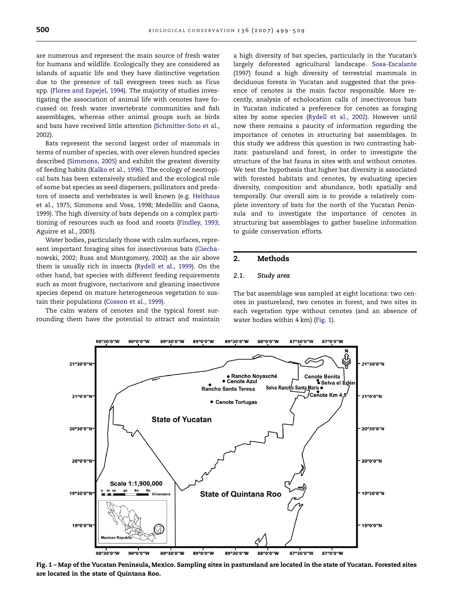are numerous and represent the main source of fresh water for humans and wildlife. Ecologically they are considered as islands of aquatic life and they have distinctive vegetation due to the presence of tall evergreen trees such as Ficus spp. [\(Flores and Espejel, 1994](#page-8-0)). The majority of studies investigating the association of animal life with cenotes have focussed on fresh water invertebrate communities and fish assemblages, whereas other animal groups such as birds and bats have received little attention [\(Schmitter-Soto et al.,](#page-9-0) [2002\)](#page-9-0).

Bats represent the second largest order of mammals in terms of number of species, with over eleven hundred species described [\(Simmons, 2005\)](#page-9-0) and exhibit the greatest diversity of feeding habits ([Kalko et al., 1996\)](#page-9-0). The ecology of neotropical bats has been extensively studied and the ecological role of some bat species as seed dispersers, pollinators and predators of insects and vertebrates is well known (e.g. [Heithaus](#page-9-0) et al., 1975; Simmons and Voss, 1998; Medellín and Gaona, [1999\)](#page-9-0). The high diversity of bats depends on a complex partitioning of resources such as food and roosts [\(Findley, 1993;](#page-8-0) [Aguirre et al., 2003\)](#page-8-0).

Water bodies, particularly those with calm surfaces, represent important foraging sites for insectivorous bats ([Ciecha](#page-8-0)[nowski, 2002; Russ and Montgomery, 2002](#page-8-0)) as the air above them is usually rich in insects [\(Rydell et al., 1999\)](#page-9-0). On the other hand, bat species with different feeding requirements such as most frugivore, nectarivore and gleaning insectivore species depend on mature heterogeneous vegetation to sustain their populations [\(Cosson et al., 1999\)](#page-8-0).

The calm waters of cenotes and the typical forest surrounding them have the potential to attract and maintain a high diversity of bat species, particularly in the Yucatan's largely deforested agricultural landscape. [Sosa-Escalante](#page-10-0) [\(1997\)](#page-10-0) found a high diversity of terrestrial mammals in deciduous forests in Yucatan and suggested that the presence of cenotes is the main factor responsible. More recently, analysis of echolocation calls of insectivorous bats in Yucatan indicated a preference for cenotes as foraging sites by some species ([Rydell et al., 2002\)](#page-9-0). However until now there remains a paucity of information regarding the importance of cenotes in structuring bat assemblages. In this study we address this question in two contrasting habitats: pastureland and forest, in order to investigate the structure of the bat fauna in sites with and without cenotes. We test the hypothesis that higher bat diversity is associated with forested habitats and cenotes, by evaluating species diversity, composition and abundance, both spatially and temporally. Our overall aim is to provide a relatively complete inventory of bats for the north of the Yucatan Peninsula and to investigate the importance of cenotes in structuring bat assemblages to gather baseline information to guide conservation efforts.

# 2. Methods

#### 2.1. Study area

The bat assemblage was sampled at eight locations: two cenotes in pastureland, two cenotes in forest, and two sites in each vegetation type without cenotes (and an absence of water bodies within 4 km) (Fig. 1).



Fig. 1 – Map of the Yucatan Peninsula, Mexico. Sampling sites in pastureland are located in the state of Yucatan. Forested sites are located in the state of Quintana Roo.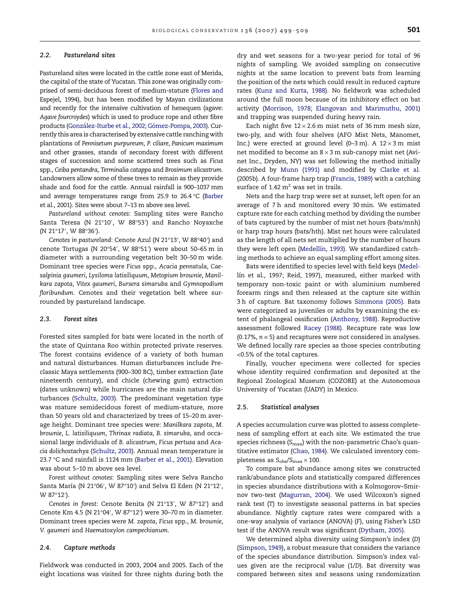## 2.2. Pastureland sites

Pastureland sites were located in the cattle zone east of Merida, the capital of the state of Yucatan. This zone was originally comprised of semi-deciduous forest of medium-stature [\(Flores and](#page-8-0) [Espejel, 1994](#page-8-0)), but has been modified by Mayan civilizations and recently for the intensive cultivation of henequen (agave: Agave fourcroydes) which is used to produce rope and other fibre products (González-Iturbe et al., 2002; Gómez-Pompa, 2003). Currently this area is characterised by extensive cattle ranching with plantations of Pennisetum purpureum, P. ciliare, Panicum maximum and other grasses, stands of secondary forest with different stages of succession and some scattered trees such as Ficus spp., Ceiba pentandra, Terminalia catappa and Brosimum alicastrum. Landowners allow some of these trees to remain as they provide shade and food for the cattle. Annual rainfall is 900–1037 mm and average temperatures range from 25.9 to 26.4  $\degree$ C [\(Barber](#page-8-0) [et al., 2001](#page-8-0)). Sites were about 7–13 m above sea level.

Pastureland without cenotes: Sampling sites were Rancho Santa Teresa (N 21°10′, W 88°53′) and Rancho Noyaxche (N 21°17', W 88°36').

Cenotes in pastureland: Cenote Azul (N 21°13′, W 88°40′) and cenote Tortugas (N 20°54', W 88°51') were about 50–65 m in diameter with a surrounding vegetation belt 30–50 m wide. Dominant tree species were Ficus spp., Acacia pennatula, Caesalpinia gaumeri, Lysiloma latisiliquum, Metopium brownie, Manilkara zapota, Vitex gaumeri, Bursera simaruba and Gymnopodium floribundum. Cenotes and their vegetation belt where surrounded by pastureland landscape.

#### 2.3. Forest sites

Forested sites sampled for bats were located in the north of the state of Quintana Roo within protected private reserves. The forest contains evidence of a variety of both human and natural disturbances. Human disturbances include Preclassic Maya settlements (900–300 BC), timber extraction (late nineteenth century), and chicle (chewing gum) extraction (dates unknown) while hurricanes are the main natural disturbances [\(Schultz, 2003\)](#page-9-0). The predominant vegetation type was mature semidecidous forest of medium-stature, more than 50 years old and characterized by trees of 15–20 m average height. Dominant tree species were: Manilkara zapota, M. brownie, L. latisiliquum, Thrinax radiata, B. simaruba, and occasional large individuals of B. alicastrum, Ficus pertusa and Acacia dolichostachya ([Schultz, 2003\)](#page-9-0). Annual mean temperature is 23.7  $\degree$ C and rainfall is 1124 mm [\(Barber et al., 2001\)](#page-8-0). Elevation was about 5–10 m above sea level.

Forest without cenotes: Sampling sites were Selva Rancho Santa María (N 21°06', W 87°10') and Selva El Eden (N 21°12', W 87°12′).

Cenotes in forest: Cenote Benita (N 21°13', W 87°12') and Cenote Km 4.5 (N 21°04′, W 87°12′) were 30–70 m in diameter. Dominant trees species were M. zapota, Ficus spp., M. brownie, V. gaumeri and Haematoxylon campechianum.

#### 2.4. Capture methods

Fieldwork was conducted in 2003, 2004 and 2005. Each of the eight locations was visited for three nights during both the dry and wet seasons for a two-year period for total of 96 nights of sampling. We avoided sampling on consecutive nights at the same location to prevent bats from learning the position of the nets which could result in reduced capture rates ([Kunz and Kurta, 1988\)](#page-9-0). No fieldwork was scheduled around the full moon because of its inhibitory effect on bat activity [\(Morrison, 1978; Elangovan and Marimuthu, 2001](#page-9-0)) and trapping was suspended during heavy rain.

Each night five  $12 \times 2.6$  m mist nets of 36 mm mesh size, two-ply, and with four shelves (AFO Mist Nets, Manomet, Inc.) were erected at ground level (0–3 m). A  $12 \times 3$  m mist net modified to become an  $8 \times 3$  m sub-canopy mist net (Avinet Inc., Dryden, NY) was set following the method initially described by [Munn \(1991\)](#page-9-0) and modified by [Clarke et al.](#page-8-0) [\(2005b\)](#page-8-0). A four-frame harp trap ([Francis, 1989\)](#page-8-0) with a catching surface of  $1.42 \text{ m}^2$  was set in trails.

Nets and the harp trap were set at sunset, left open for an average of 7 h and monitored every 30 min. We estimated capture rate for each catching method by dividing the number of bats captured by the number of mist net hours (bats/mnh) or harp trap hours (bats/hth). Mist net hours were calculated as the length of all nets set multiplied by the number of hours they were left open (Medellín, 1993). We standardized catching methods to achieve an equal sampling effort among sites.

Bats were identified to species level with field keys [\(Medel](#page-9-0)lín et al., 1997; Reid, 1997), measured, either marked with temporary non-toxic paint or with aluminium numbered forearm rings and then released at the capture site within 3 h of capture. Bat taxonomy follows [Simmons \(2005\).](#page-9-0) Bats were categorized as juveniles or adults by examining the extent of phalangeal ossification ([Anthony, 1988](#page-8-0)). Reproductive assessment followed [Racey \(1988\)](#page-9-0). Recapture rate was low  $(0.17\%$ ,  $n = 5)$  and recaptures were not considered in analyses. We defined locally rare species as those species contributing <0.5% of the total captures.

Finally, voucher specimens were collected for species whose identity required confirmation and deposited at the Regional Zoological Museum (COZORE) at the Autonomous University of Yucatan (UADY) in Mexico.

#### 2.5. Statistical analyses

A species accumulation curve was plotted to assess completeness of sampling effort at each site. We estimated the true species richness ( $S<sub>max</sub>$ ) with the non-parametric Chao's quantitative estimator [\(Chao, 1984\)](#page-8-0). We calculated inventory completeness as  $S_{\rm obs}/S_{\rm max} \times 100$ .

To compare bat abundance among sites we constructed rank/abundance plots and statistically compared differences in species abundance distributions with a Kolmogorov–Smirnov two-test [\(Magurran, 2004](#page-9-0)). We used Wilcoxon's signed rank test (T) to investigate seasonal patterns in bat species abundance. Nightly capture rates were compared with a one-way analysis of variance (ANOVA) (F), using Fisher's LSD test if the ANOVA result was significant ([Dytham, 2005\)](#page-8-0).

We determined alpha diversity using Simpson's index (D) [\(Simpson, 1949](#page-9-0)), a robust measure that considers the variance of the species abundance distribution. Simpson's index values given are the reciprocal value (1/D). Bat diversity was compared between sites and seasons using randomization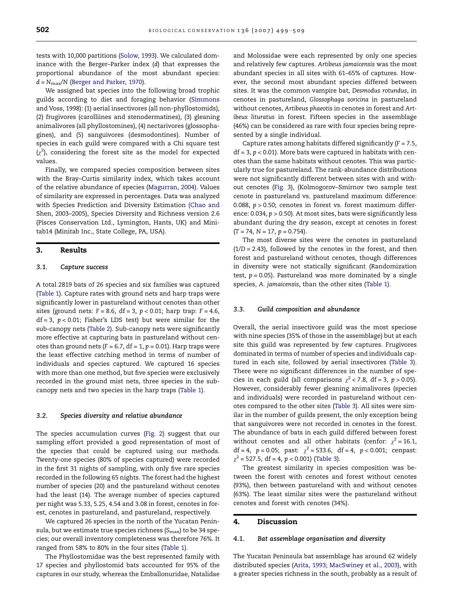tests with 10,000 partitions [\(Solow, 1993\)](#page-10-0). We calculated dominance with the Berger–Parker index (d) that expresses the proportional abundance of the most abundant species:  $d = N_{\text{max}}/N$  ([Berger and Parker, 1970](#page-8-0)).

We assigned bat species into the following broad trophic guilds according to diet and foraging behavior [\(Simmons](#page-9-0) [and Voss, 1998\)](#page-9-0): (1) aerial insectivores (all non-phyllostomids), (2) frugivores (carolliines and stenodermatines), (3) gleaning animalivores (all phyllostomines), (4) nectarivores (glossophagines), and (5) sanguivores (desmodontines). Number of species in each guild were compared with a Chi square test  $(x^2)$ , considering the forest site as the model for expected values.

Finally, we compared species composition between sites with the Bray–Curtis similarity index, which takes account of the relative abundance of species [\(Magurran, 2004\)](#page-9-0). Values of similarity are expressed in percentages. Data was analyzed with Species Prediction and Diversity Estimation [\(Chao and](#page-8-0) [Shen, 2003–2005\),](#page-8-0) Species Diversity and Richness version 2.6 (Pisces Conservation Ltd., Lymington, Hants, UK) and Minitab14 (Minitab Inc., State College, PA, USA).

## 3. Results

#### 3.1. Capture success

A total 2819 bats of 26 species and six families was captured ([Table 1](#page-4-0)). Capture rates with ground nets and harp traps were significantly lower in pastureland without cenotes than other sites (ground nets:  $F = 8.6$ , df = 3,  $p < 0.01$ ; harp trap:  $F = 4.6$ ,  $df = 3$ ,  $p < 0.01$ ; Fisher's LDS test) but were similar for the sub-canopy nets [\(Table 2](#page-5-0)). Sub-canopy nets were significantly more effective at capturing bats in pastureland without cenotes than ground nets ( $F = 6.7$ , df = 1,  $p = 0.01$ ). Harp traps were the least effective catching method in terms of number of individuals and species captured. We captured 16 species with more than one method, but five species were exclusively recorded in the ground mist nets, three species in the subcanopy nets and two species in the harp traps ([Table 1](#page-4-0)).

#### 3.2. Species diversity and relative abundance

The species accumulation curves ([Fig. 2\)](#page-5-0) suggest that our sampling effort provided a good representation of most of the species that could be captured using our methods. Twenty-one species (80% of species captured) were recorded in the first 31 nights of sampling, with only five rare species recorded in the following 65 nights. The forest had the highest number of species (20) and the pastureland without cenotes had the least (14). The average number of species captured per night was 5.33, 5.25, 4.54 and 3.08 in forest, cenotes in forest, cenotes in pastureland, and pastureland, respectively.

We captured 26 species in the north of the Yucatan Peninsula, but we estimate true species richness ( $S_{\rm max}$ ) to be 34 species; our overall inventory completeness was therefore 76%. It ranged from 58% to 80% in the four sites ([Table 1](#page-4-0)).

The Phyllostomidae was the best represented family with 17 species and phyllostomid bats accounted for 95% of the captures in our study, whereas the Emballonuridae, Natalidae and Molossidae were each represented by only one species and relatively few captures. Artibeus jamaicensis was the most abundant species in all sites with 61–65% of captures. However, the second most abundant species differed between sites. It was the common vampire bat, Desmodus rotundus, in cenotes in pastureland, Glossophaga soricina in pastureland without cenotes, Artibeus phaeotis in cenotes in forest and Artibeus lituratus in forest. Fifteen species in the assemblage (46%) can be considered as rare with four species being represented by a single individual.

Capture rates among habitats differed significantly  $(F = 7.5,$  $df = 3$ ,  $p < 0.01$ ). More bats were captured in habitats with cenotes than the same habitats without cenotes. This was particularly true for pastureland. The rank-abundance distributions were not significantly different between sites with and without cenotes ([Fig. 3](#page-5-0)), (Kolmogorov–Smirnov two sample test cenote in pastureland vs. pastureland maximum difference: 0.088,  $p > 0.50$ ; cenotes in forest vs. forest maximum difference: 0.034,  $p > 0.50$ ). At most sites, bats were significantly less abundant during the dry season, except at cenotes in forest  $(T = 74, N = 17, p = 0.754).$ 

The most diverse sites were the cenotes in pastureland  $(1/D = 2.43)$ , followed by the cenotes in the forest, and then forest and pastureland without cenotes, though differences in diversity were not statically significant (Randomization test,  $p = 0.05$ ). Pastureland was more dominated by a single species, A. jamaicensis, than the other sites [\(Table 1](#page-4-0)).

#### 3.3. Guild composition and abundance

Overall, the aerial insectivore guild was the most speciose with nine species (35% of those in the assemblage) but at each site this guild was represented by few captures. Frugivores dominated in terms of number of species and individuals captured in each site, followed by aerial insectivores ([Table 3\)](#page-6-0). There were no significant differences in the number of species in each guild (all comparisons  $\chi^2$  < 7.8, df = 3, p > 0.05). However, considerably fewer gleaning animalivores (species and individuals) were recorded in pastureland without cenotes compared to the other sites [\(Table 3\)](#page-6-0). All sites were similar in the number of guilds present, the only exception being that sanguivores were not recorded in cenotes in the forest. The abundance of bats in each guild differed between forest without cenotes and all other habitats (cenfor:  $\chi^2$  = 16.1, df = 4,  $p = 0.05$ ; past:  $\chi^2 = 533.6$ , df = 4,  $p < 0.001$ ; cenpast:  $\chi^2$  = 527.5, df = 4, p < 0.001) ([Table 3](#page-6-0)).

The greatest similarity in species composition was between the forest with cenotes and forest without cenotes (93%), then between pastureland with and without cenotes (63%). The least similar sites were the pastureland without cenotes and forest with cenotes (34%).

# 4. Discussion

#### 4.1. Bat assemblage organisation and diversity

The Yucatan Peninsula bat assemblage has around 62 widely distributed species [\(Arita, 1993; MacSwiney et al., 2003](#page-8-0)), with a greater species richness in the south, probably as a result of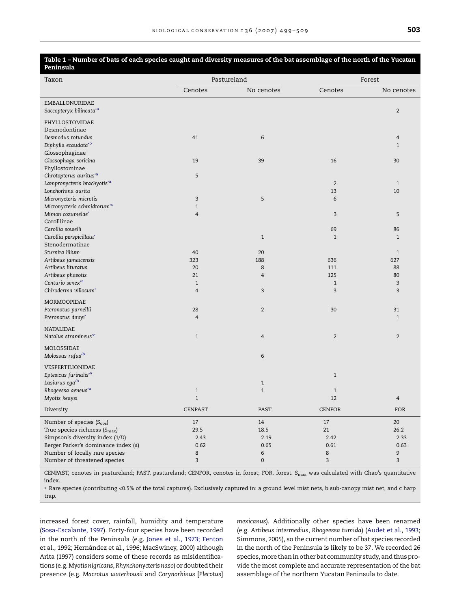| Taxon                                                       |                                | Pastureland                  | Forest         |                    |  |  |
|-------------------------------------------------------------|--------------------------------|------------------------------|----------------|--------------------|--|--|
|                                                             | Cenotes                        | No cenotes                   | Cenotes        | No cenotes         |  |  |
| EMBALLONURIDAE                                              |                                |                              |                |                    |  |  |
| Saccopteryx bilineata*a                                     |                                |                              |                | $\overline{2}$     |  |  |
| PHYLLOSTOMIDAE                                              |                                |                              |                |                    |  |  |
| Desmodontinae                                               |                                |                              |                |                    |  |  |
| Desmodus rotundus                                           | 41                             | 6                            |                | $\overline{4}$     |  |  |
| Diphylla ecaudata <sup>*b</sup>                             |                                |                              |                | $\mathbf{1}$       |  |  |
| Glossophaginae                                              |                                |                              |                |                    |  |  |
| Glossophaga soricina                                        | 19                             | 39                           | 16             | 30                 |  |  |
| Phyllostominae                                              |                                |                              |                |                    |  |  |
| Chrotopterus auritus <sup>*a</sup>                          | 5                              |                              |                |                    |  |  |
| Lampronycteris brachyotis <sup>*a</sup>                     |                                |                              | $\overline{2}$ | $\mathbf{1}$       |  |  |
| Lonchorhina aurita                                          |                                |                              | 13             | 10                 |  |  |
| Micronycteris microtis                                      | $\overline{3}$<br>$\mathbf{1}$ | 5                            | 6              |                    |  |  |
| Micronycteris schmidtorum <sup>*c</sup><br>Mimon cozumelae* |                                |                              |                |                    |  |  |
| Carolliinae                                                 | $\sqrt{4}$                     |                              | 3              | 5                  |  |  |
| Carollia sowelli                                            |                                |                              | 69             | 86                 |  |  |
| Carollia perspicillata*                                     |                                | $\mathbf{1}$                 | $\mathbf{1}$   | $\mathbf{1}$       |  |  |
| Stenodermatinae                                             |                                |                              |                |                    |  |  |
| Sturnira lilium                                             | 40                             | 20                           |                | $\mathbf{1}$       |  |  |
| Artibeus jamaicensis                                        | 323                            | 188                          | 636            | 627                |  |  |
| Artibeus lituratus                                          | 20                             | 8                            | 111            | 88                 |  |  |
| Artibeus phaeotis                                           | 21                             | $\overline{4}$               | 125            | 80                 |  |  |
| Centurio senex <sup>*a</sup>                                | $\mathbf{1}$                   |                              | $\mathbf{1}$   | 3                  |  |  |
| Chiroderma villosum <sup>*</sup>                            | $\overline{4}$                 | $\overline{3}$               | 3              | 3                  |  |  |
|                                                             |                                |                              |                |                    |  |  |
| MORMOOPIDAE                                                 | 28                             | $\overline{2}$               | 30             |                    |  |  |
| Pteronotus parnellii                                        | $\overline{4}$                 |                              |                | 31<br>$\mathbf{1}$ |  |  |
| Pteronotus davyi*                                           |                                |                              |                |                    |  |  |
| <b>NATALIDAE</b>                                            |                                |                              |                |                    |  |  |
| Natalus stramineus <sup>*c</sup>                            | $\mathbf{1}$                   | $\overline{4}$               | $\overline{2}$ | $\overline{2}$     |  |  |
| MOLOSSIDAE                                                  |                                |                              |                |                    |  |  |
| Molossus rufus <sup>*b</sup>                                |                                | $6\,$                        |                |                    |  |  |
|                                                             |                                |                              |                |                    |  |  |
| VESPERTILIONIDAE                                            |                                |                              |                |                    |  |  |
| Eptesicus furinalis <sup>*a</sup>                           |                                |                              | $\mathbf{1}$   |                    |  |  |
| Lasiurus ega*b                                              | $\mathbf{1}$                   | $\mathbf{1}$<br>$\mathbf{1}$ | $\mathbf{1}$   |                    |  |  |
| Rhogeessa aeneus*a<br>Myotis keaysi                         | $\mathbf{1}$                   |                              | 12             | $\overline{4}$     |  |  |
|                                                             |                                |                              |                |                    |  |  |
| Diversity                                                   | <b>CENPAST</b>                 | PAST                         | <b>CENFOR</b>  | <b>FOR</b>         |  |  |
| Number of species $(S_{obs})$                               | 17                             | 14                           | 17             | 20                 |  |  |
| True species richness $(S_{\text{max}})$                    | 29.5                           | 18.5                         | 21             | 26.2               |  |  |
| Simpson's diversity index (1/D)                             | 2.43                           | 2.19                         | 2.42           | 2.33               |  |  |
| Berger Parker's dominance index (d)                         | 0.62                           | 0.65                         | 0.61           | 0.63               |  |  |
| Number of locally rare species                              | $\,8$                          | $\sqrt{6}$                   | 8              | 9                  |  |  |
| Number of threatened species                                | 3                              | $\mathbf{0}$                 | 3              | 3                  |  |  |

<span id="page-4-0"></span>Table 1 – Number of bats of each species caught and diversity measures of the bat assemblage of the north of the Yucatan Peninsula

CENPAST, cenotes in pastureland; PAST, pastureland; CENFOR, cenotes in forest; FOR, forest. Smax was calculated with Chao's quantitative index.

\* Rare species (contributing <0.5% of the total captures). Exclusively captured in: a ground level mist nets, b sub-canopy mist net, and c harp trap.

increased forest cover, rainfall, humidity and temperature [\(Sosa-Escalante, 1997\)](#page-10-0). Forty-four species have been recorded in the north of the Peninsula (e.g. [Jones et al., 1973; Fenton](#page-9-0) et al., 1992; Hernández et al., 1996; MacSwiney, 2000) although [Arita \(1997\)](#page-8-0) considers some of these records as misidentifications (e.g. Myotis nigricans, Rhynchonycteris naso) or doubted their presence (e.g. Macrotus waterhousii and Corynorhinus [Plecotus]

mexicanus). Additionally other species have been renamed (e.g. Artibeus intermedius, Rhogeessa tumida) ([Audet et al., 1993;](#page-8-0) [Simmons, 2005](#page-8-0)), so the current number of bat species recorded in the north of the Peninsula is likely to be 37. We recorded 26 species, more than in other bat community study, and thus provide the most complete and accurate representation of the bat assemblage of the northern Yucatan Peninsula to date.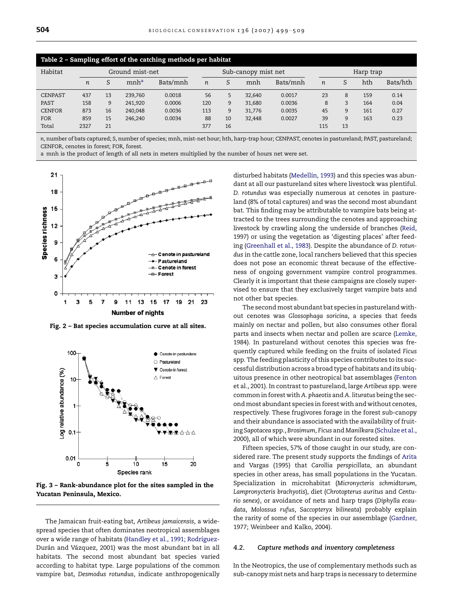<span id="page-5-0"></span>

| Table 2 - Sampling effort of the catching methods per habitat |      |                 |                  |          |                     |    |        |          |                  |    |     |          |
|---------------------------------------------------------------|------|-----------------|------------------|----------|---------------------|----|--------|----------|------------------|----|-----|----------|
| Habitat                                                       |      | Ground mist-net |                  |          | Sub-canopy mist net |    |        |          | Harp trap        |    |     |          |
|                                                               | n    |                 | mnh <sup>a</sup> | Bats/mnh | $\boldsymbol{n}$    | S  | mnh    | Bats/mnh | $\boldsymbol{n}$ | S  | hth | Bats/hth |
| <b>CENPAST</b>                                                | 437  | 13              | 239,760          | 0.0018   | 56                  | 5  | 32,640 | 0.0017   | 23               | 8  | 159 | 0.14     |
| PAST                                                          | 158  | 9               | 241.920          | 0.0006   | 120                 | 9  | 31,680 | 0.0036   | 8                | 3  | 164 | 0.04     |
| <b>CENFOR</b>                                                 | 873  | 16              | 240,048          | 0.0036   | 113                 | 9  | 31,776 | 0.0035   | 45               | 9  | 161 | 0.27     |
| FOR                                                           | 859  | 15              | 246,240          | 0.0034   | 88                  | 10 | 32.448 | 0.0027   | 39               | 9  | 163 | 0.23     |
| Total                                                         | 2327 | 21              |                  |          | 377                 | 16 |        |          | 115              | 13 |     |          |

n, number of bats captured; S, number of species; mnh, mist-net hour; hth, harp-trap hour; CENPAST, cenotes in pastureland; PAST, pastureland; CENFOR, cenotes in forest; FOR, forest.

a mnh is the product of length of all nets in meters multiplied by the number of hours net were set.



Fig. 2 – Bat species accumulation curve at all sites.



Fig. 3 – Rank-abundance plot for the sites sampled in the Yucatan Peninsula, Mexico.

The Jamaican fruit-eating bat, Artibeus jamaicensis, a widespread species that often dominates neotropical assemblages over a wide range of habitats (Handley et al., 1991; Rodríguez-Durán and Vázquez, 2001) was the most abundant bat in all habitats. The second most abundant bat species varied according to habitat type. Large populations of the common vampire bat, Desmodus rotundus, indicate anthropogenically disturbed habitats (Medellín, 1993) and this species was abundant at all our pastureland sites where livestock was plentiful. D. rotundus was especially numerous at cenotes in pastureland (8% of total captures) and was the second most abundant bat. This finding may be attributable to vampire bats being attracted to the trees surrounding the cenotes and approaching livestock by crawling along the underside of branches [\(Reid,](#page-9-0) [1997\)](#page-9-0) or using the vegetation as 'digesting places' after feeding [\(Greenhall et al., 1983](#page-9-0)). Despite the abundance of D. rotundus in the cattle zone, local ranchers believed that this species does not pose an economic threat because of the effectiveness of ongoing government vampire control programmes. Clearly it is important that these campaigns are closely supervised to ensure that they exclusively target vampire bats and not other bat species.

The second most abundant bat species in pastureland without cenotes was Glossophaga soricina, a species that feeds mainly on nectar and pollen, but also consumes other floral parts and insects when nectar and pollen are scarce [\(Lemke,](#page-9-0) [1984\)](#page-9-0). In pastureland without cenotes this species was frequently captured while feeding on the fruits of isolated Ficus spp. The feeding plasticity of this species contributes to its successful distribution across a broad type of habitats and its ubiquitous presence in other neotropical bat assemblages [\(Fenton](#page-8-0) [et al., 2001](#page-8-0)). In contrast to pastureland, large Artibeus spp. were common in forest with A. phaeotis and A. lituratus being the second most abundant species in forest with and without cenotes, respectively. These frugivores forage in the forest sub-canopy and their abundance is associated with the availability of fruiting Sapotacea spp., Brosimum, Ficus and Manilkara [\(Schulze et al.,](#page-9-0) [2000\)](#page-9-0), all of which were abundant in our forested sites.

Fifteen species, 57% of those caught in our study, are considered rare. The present study supports the findings of [Arita](#page-8-0) [and Vargas \(1995\)](#page-8-0) that Carollia perspicillata, an abundant species in other areas, has small populations in the Yucatan. Specialization in microhabitat (Micronycteris schmidtorum, Lampronycteris brachyotis), diet (Chrotopterus auritus and Centurio senex), or avoidance of nets and harp traps (Diphylla ecaudata, Molossus rufus, Saccopteryx bilineata) probably explain the rarity of some of the species in our assemblage [\(Gardner,](#page-8-0) [1977; Weinbeer and Kalko, 2004](#page-8-0)).

#### 4.2. Capture methods and inventory completeness

In the Neotropics, the use of complementary methods such as sub-canopy mist nets and harp traps is necessary to determine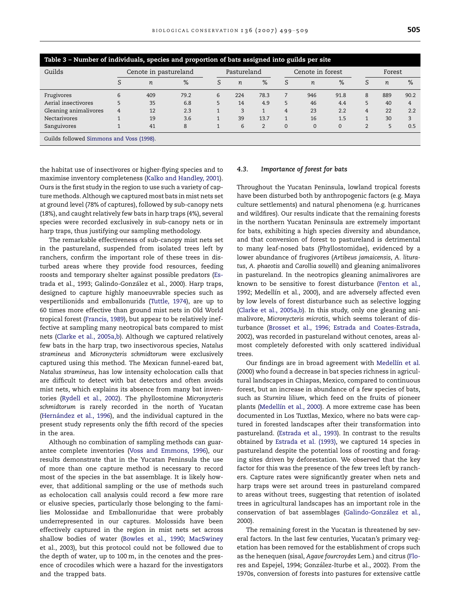<span id="page-6-0"></span>

| Table 3 - Number of individuals, species and proportion of bats assigned into guilds per site |                       |     |      |             |     |                |                  |              |          |                |     |      |
|-----------------------------------------------------------------------------------------------|-----------------------|-----|------|-------------|-----|----------------|------------------|--------------|----------|----------------|-----|------|
| Guilds                                                                                        | Cenote in pastureland |     |      | Pastureland |     |                | Cenote in forest |              |          | Forest         |     |      |
|                                                                                               |                       | n   | $\%$ | S           | n   | %              | S                | n            | $\%$     | S              | n   | $\%$ |
| Frugivores                                                                                    | 6                     | 409 | 79.2 | 6           | 224 | 78.3           |                  | 946          | 91.8     | 8              | 889 | 90.2 |
| Aerial insectivores                                                                           |                       | 35  | 6.8  |             | 14  | 4.9            | 5                | 46           | 4.4      | 5              | 40  | 4    |
| Gleaning animalivores                                                                         | $\overline{4}$        | 12  | 2.3  |             | 3   | 1              | 4                | 23           | 2.2      | $\overline{4}$ | 22  | 2.2  |
| Nectarivores                                                                                  |                       | 19  | 3.6  |             | 39  | 13.7           | 1                | 16           | 1.5      | $\mathbf{1}$   | 30  | 3    |
| Sanguivores                                                                                   |                       | 41  | 8    |             | 6   | $\overline{2}$ | $\mathbf 0$      | $\mathbf{0}$ | $\Omega$ | $\overline{2}$ |     | 0.5  |
| Guilds followed Simmons and Voss (1998).                                                      |                       |     |      |             |     |                |                  |              |          |                |     |      |

the habitat use of insectivores or higher-flying species and to maximise inventory completeness ([Kalko and Handley, 2001](#page-9-0)). Ours is the first study in the region to use such a variety of capture methods. Although we captured most bats in mist nets set at ground level (78% of captures), followed by sub-canopy nets (18%), and caught relatively few bats in harp traps (4%), several species were recorded exclusively in sub-canopy nets or in harp traps, thus justifying our sampling methodology.

The remarkable effectiveness of sub-canopy mist nets set in the pastureland, suspended from isolated trees left by ranchers, confirm the important role of these trees in disturbed areas where they provide food resources, feeding roosts and temporary shelter against possible predators [\(Es](#page-8-0)trada et al., 1993; Galindo-González et al., 2000). Harp traps, designed to capture highly manoeuvrable species such as vespertilionids and emballonurids [\(Tuttle, 1974\)](#page-10-0), are up to 60 times more effective than ground mist nets in Old World tropical forest [\(Francis, 1989](#page-8-0)), but appear to be relatively ineffective at sampling many neotropical bats compared to mist nets [\(Clarke et al., 2005a,b](#page-8-0)). Although we captured relatively few bats in the harp trap, two insectivorous species, Natalus stramineus and Micronycteris schmidtorum were exclusively captured using this method. The Mexican funnel-eared bat, Natalus stramineus, has low intensity echolocation calls that are difficult to detect with bat detectors and often avoids mist nets, which explains its absence from many bat inventories ([Rydell et al., 2002](#page-9-0)). The phyllostomine Micronycteris schmidtorum is rarely recorded in the north of Yucatan (Hernández et al., 1996), and the individual captured in the present study represents only the fifth record of the species in the area.

Although no combination of sampling methods can guarantee complete inventories ([Voss and Emmons, 1996\)](#page-10-0), our results demonstrate that in the Yucatan Peninsula the use of more than one capture method is necessary to record most of the species in the bat assemblage. It is likely however, that additional sampling or the use of methods such as echolocation call analysis could record a few more rare or elusive species, particularly those belonging to the families Molossidae and Emballonuridae that were probably underrepresented in our captures. Molossids have been effectively captured in the region in mist nets set across shallow bodies of water [\(Bowles et al., 1990; MacSwiney](#page-8-0) [et al., 2003](#page-8-0)), but this protocol could not be followed due to the depth of water, up to 100 m, in the cenotes and the presence of crocodiles which were a hazard for the investigators and the trapped bats.

#### 4.3. Importance of forest for bats

Throughout the Yucatan Peninsula, lowland tropical forests have been disturbed both by anthropogenic factors (e.g. Maya culture settlements) and natural phenomena (e.g. hurricanes and wildfires). Our results indicate that the remaining forests in the northern Yucatan Peninsula are extremely important for bats, exhibiting a high species diversity and abundance, and that conversion of forest to pastureland is detrimental to many leaf-nosed bats (Phyllostomidae), evidenced by a lower abundance of frugivores (Artibeus jamaicensis, A. lituratus, A. phaeotis and Carollia sowelli) and gleaning animalivores in pastureland. In the neotropics gleaning animalivores are known to be sensitive to forest disturbance [\(Fenton et al.,](#page-8-0) 1992; Medellín et al., 2000), and are adversely affected even by low levels of forest disturbance such as selective logging [\(Clarke et al., 2005a,b](#page-8-0)). In this study, only one gleaning animalivore, Micronycteris microtis, which seems tolerant of disturbance [\(Brosset et al., 1996; Estrada and Coates-Estrada,](#page-8-0) [2002](#page-8-0)), was recorded in pastureland without cenotes, areas almost completely deforested with only scattered individual trees.

Our findings are in broad agreement with Medellín et al. [\(2000\)](#page-9-0) who found a decrease in bat species richness in agricultural landscapes in Chiapas, Mexico, compared to continuous forest, but an increase in abundance of a few species of bats, such as Sturnira lilium, which feed on the fruits of pioneer plants (Medellín et al., 2000). A more extreme case has been documented in Los Tuxtlas, Mexico, where no bats were captured in forested landscapes after their transformation into pastureland. ([Estrada et al., 1993](#page-8-0)). In contrast to the results obtained by [Estrada et al. \(1993\),](#page-8-0) we captured 14 species in pastureland despite the potential loss of roosting and foraging sites driven by deforestation. We observed that the key factor for this was the presence of the few trees left by ranchers. Capture rates were significantly greater when nets and harp traps were set around trees in pastureland compared to areas without trees, suggesting that retention of isolated trees in agricultural landscapes has an important role in the conservation of bat assemblages (Galindo-González et al., [2000](#page-8-0)).

The remaining forest in the Yucatan is threatened by several factors. In the last few centuries, Yucatan's primary vegetation has been removed for the establishment of crops such as the henequen (sisal, Agave fourcroydes Lem.) and citrus [\(Flo](#page-8-0)res and Espejel, 1994; González-Iturbe et al., 2002). From the 1970s, conversion of forests into pastures for extensive cattle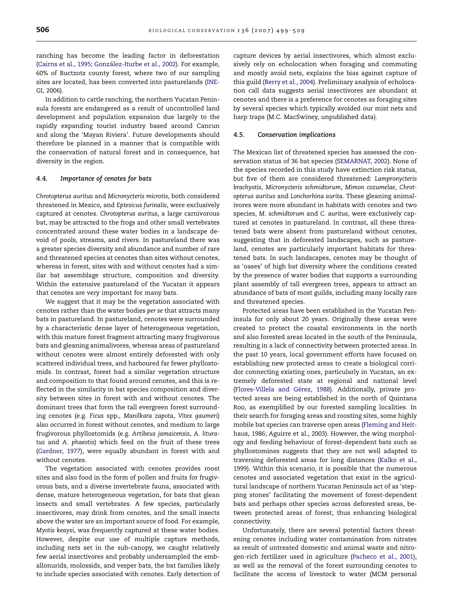ranching has become the leading factor in deforestation (Cairns et al., 1995; González-Iturbe et al., 2002). For example, 60% of Buctzotz county forest, where two of our sampling sites are located, has been converted into pasturelands ([INE-](#page-9-0)[GI, 2006](#page-9-0)).

In addition to cattle ranching, the northern Yucatan Peninsula forests are endangered as a result of uncontrolled land development and population expansion due largely to the rapidly expanding tourist industry based around Cancun and along the 'Mayan Riviera'. Future developments should therefore be planned in a manner that is compatible with the conservation of natural forest and in consequence, bat diversity in the region.

#### 4.4. Importance of cenotes for bats

Chrotopterus auritus and Micronycteris microtis, both considered threatened in Mexico, and Eptesicus furinalis, were exclusively captured at cenotes. Chrotopterus auritus, a large carnivorous bat, may be attracted to the frogs and other small vertebrates concentrated around these water bodies in a landscape devoid of pools, streams, and rivers. In pastureland there was a greater species diversity and abundance and number of rare and threatened species at cenotes than sites without cenotes, whereas in forest, sites with and without cenotes had a similar bat assemblage structure, composition and diversity. Within the extensive pastureland of the Yucatan it appears that cenotes are very important for many bats.

We suggest that it may be the vegetation associated with cenotes rather than the water bodies per se that attracts many bats in pastureland. In pastureland, cenotes were surrounded by a characteristic dense layer of heterogeneous vegetation, with this mature forest fragment attracting many frugivorous bats and gleaning animalivores, whereas areas of pastureland without cenotes were almost entirely deforested with only scattered individual trees, and harboured far fewer phyllostomids. In contrast, forest had a similar vegetation structure and composition to that found around cenotes, and this is reflected in the similarity in bat species composition and diversity between sites in forest with and without cenotes. The dominant trees that form the tall evergreen forest surrounding cenotes (e.g. Ficus spp., Manilkara zapota, Vitex gaumeri) also occurred in forest without cenotes, and medium to large frugivorous phyllostomids (e.g. Artibeus jamaicensis, A. lituratus and A. phaeotis) which feed on the fruit of these trees ([Gardner, 1977\)](#page-8-0), were equally abundant in forest with and without cenotes.

The vegetation associated with cenotes provides roost sites and also food in the form of pollen and fruits for frugivorous bats, and a diverse invertebrate fauna, associated with dense, mature heterogeneous vegetation, for bats that glean insects and small vertebrates. A few species, particularly insectivores, may drink from cenotes, and the small insects above the water are an important source of food. For example, Myotis keaysi, was frequently captured at these water bodies. However, despite our use of multiple capture methods, including nets set in the sub-canopy, we caught relatively few aerial insectivores and probably undersampled the emballonurids, molossids, and vesper bats, the bat families likely to include species associated with cenotes. Early detection of

capture devices by aerial insectivores, which almost exclusively rely on echolocation when foraging and commuting and mostly avoid nets, explains the bias against capture of this guild [\(Berry et al., 2004](#page-8-0)). Preliminary analysis of echolocation call data suggests aerial insectivores are abundant at cenotes and there is a preference for cenotes as foraging sites by several species which typically avoided our mist nets and harp traps (M.C. MacSwiney, unpublished data).

#### 4.5. Conservation implications

The Mexican list of threatened species has assessed the conservation status of 36 bat species [\(SEMARNAT, 2002](#page-9-0)). None of the species recorded in this study have extinction risk status, but five of them are considered threatened: Lampronycteris brachyotis, Micronycteris schmidtorum, Mimon cozumelae, Chrotopterus auritus and Lonchorhina aurita. These gleaning animalivores were more abundant in habitats with cenotes and two species, M. schmidtorum and C. auritus, were exclusively captured at cenotes in pastureland. In contrast, all these threatened bats were absent from pastureland without cenotes, suggesting that in deforested landscapes, such as pastureland, cenotes are particularly important habitats for threatened bats. In such landscapes, cenotes may be thought of as 'oases' of high bat diversity where the conditions created by the presence of water bodies that supports a surrounding plant assembly of tall evergreen trees, appears to attract an abundance of bats of most guilds, including many locally rare and threatened species.

Protected areas have been established in the Yucatan Peninsula for only about 20 years. Originally these areas were created to protect the coastal environments in the north and also forested areas located in the south of the Peninsula, resulting in a lack of connectivity between protected areas. In the past 10 years, local government efforts have focused on establishing new protected areas to create a biological corridor connecting existing ones, particularly in Yucatan, an extremely deforested state at regional and national level (Flores-Villela and Gérez, 1988). Additionally, private protected areas are being established in the north of Quintana Roo, as exemplified by our forested sampling localities. In their search for foraging areas and roosting sites, some highly mobile bat species can traverse open areas ([Fleming and Heit](#page-8-0)[haus, 1986; Aguirre et al., 2003\)](#page-8-0). However, the wing morphology and feeding behaviour of forest-dependent bats such as phyllostomines suggests that they are not well adapted to traversing deforested areas for long distances ([Kalko et al.,](#page-9-0) [1999\)](#page-9-0). Within this scenario, it is possible that the numerous cenotes and associated vegetation that exist in the agricultural landscape of northern Yucatan Peninsula act of as 'stepping stones' facilitating the movement of forest-dependent bats and perhaps other species across deforested areas, between protected areas of forest, thus enhancing biological connectivity.

Unfortunately, there are several potential factors threatening cenotes including water contamination from nitrates as result of untreated domestic and animal waste and nitrogen-rich fertilizer used in agriculture ([Pacheco et al., 2001\)](#page-9-0), as well as the removal of the forest surrounding cenotes to facilitate the access of livestock to water (MCM personal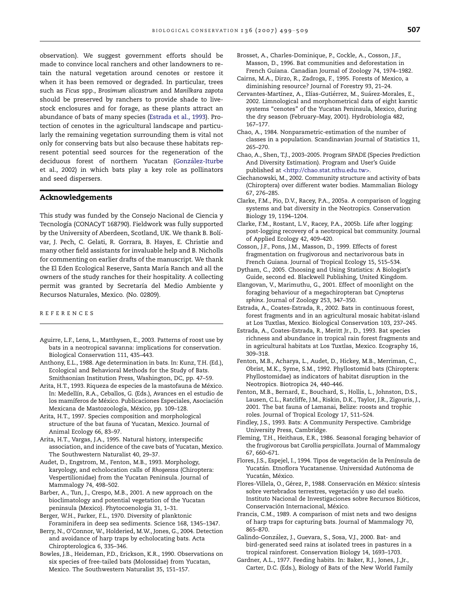<span id="page-8-0"></span>observation). We suggest government efforts should be made to convince local ranchers and other landowners to retain the natural vegetation around cenotes or restore it when it has been removed or degraded. In particular, trees such as Ficus spp., Brosimum alicastrum and Manilkara zapota should be preserved by ranchers to provide shade to livestock enclosures and for forage, as these plants attract an abundance of bats of many species (Estrada et al., 1993). Protection of cenotes in the agricultural landscape and particularly the remaining vegetation surrounding them is vital not only for conserving bats but also because these habitats represent potential seed sources for the regeneration of the deciduous forest of northern Yucatan (González-Iturbe [et al., 2002\)](#page-9-0) in which bats play a key role as pollinators and seed dispersers.

# Acknowledgements

This study was funded by the Consejo Nacional de Ciencia y Tecnología (CONACyT 168790). Fieldwork was fully supported by the University of Aberdeen, Scotland, UK. We thank B. Bolívar, J. Pech, C. Gelati, R. Gorrara, B. Hayes, E. Christie and many other field assistants for invaluable help and B. Nicholls for commenting on earlier drafts of the manuscript. We thank the El Eden Ecological Reserve, Santa María Ranch and all the owners of the study ranches for their hospitality. A collecting permit was granted by Secretaría del Medio Ambiente y Recursos Naturales, Mexico. (No. 02809).

#### REFERENCES

- Aguirre, L.F., Lens, L., Matthysen, E., 2003. Patterns of roost use by bats in a neotropical savanna: implications for conservation. Biological Conservation 111, 435–443.
- Anthony, E.L., 1988. Age determination in bats. In: Kunz, T.H. (Ed.), Ecological and Behavioral Methods for the Study of Bats. Smithsonian Institution Press, Washington, DC, pp. 47–59.
- Arita, H.T., 1993. Riqueza de especies de la mastofauna de México. In: Medellín, R.A., Ceballos, G. (Eds.), Avances en el estudio de los mamíferos de México. Publicaciones Especiales, Asociación Mexicana de Mastozoología, México, pp. 109-128.
- Arita, H.T., 1997. Species composition and morphological structure of the bat fauna of Yucatan, Mexico. Journal of Animal Ecology 66, 83–97.
- Arita, H.T., Vargas, J.A., 1995. Natural history, interspecific association, and incidence of the cave bats of Yucatan, Mexico. The Southwestern Naturalist 40, 29–37.
- Audet, D., Engstrom, M., Fenton, M.B., 1993. Morphology, karyology, and echolocation calls of Rhogeessa (Chiroptera: Vespertilionidae) from the Yucatan Peninsula. Journal of Mammalogy 74, 498–502.
- Barber, A., Tun, J., Crespo, M.B., 2001. A new approach on the bioclimatology and potential vegetation of the Yucatan peninsula (Mexico). Phytocoenologia 31, 1–31.
- Berger, W.H., Parker, F.L., 1970. Diversity of planktonic Foraminifera in deep sea sediments. Science 168, 1345–1347.
- Berry, N., O'Connor, W., Holderied, M.W., Jones, G., 2004. Detection and avoidance of harp traps by echolocating bats. Acta Chiropterologica 6, 335–346.
- Bowles, J.B., Heideman, P.D., Erickson, K.R., 1990. Observations on six species of free-tailed bats (Molossidae) from Yucatan, Mexico. The Southwestern Naturalist 35, 151–157.
- Brosset, A., Charles-Dominique, P., Cockle, A., Cosson, J.F., Masson, D., 1996. Bat communities and deforestation in French Guiana. Canadian Journal of Zoology 74, 1974–1982.
- Cairns, M.A., Dirzo, R., Zadroga, F., 1995. Forests of Mexico, a diminishing resource? Journal of Forestry 93, 21–24.
- Cervantes-Martínez, A., Elías-Gutiérrez, M., Suárez-Morales, E., 2002. Limnological and morphometrical data of eight karstic systems "cenotes" of the Yucatan Peninsula, Mexico, during the dry season (February–May, 2001). Hydrobiologia 482, 167–177.
- Chao, A., 1984. Nonparametric-estimation of the number of classes in a population. Scandinavian Journal of Statistics 11, 265–270.
- Chao, A., Shen, T.J., 2003–2005. Program SPADE (Species Prediction And Diversity Estimation). Program and User's Guide published at [<http://chao.stat.nthu.edu.tw>.](http://chao.stat.nthu.edu.tw)
- Ciechanowski, M., 2002. Community structure and activity of bats (Chiroptera) over different water bodies. Mammalian Biology 67, 276–285.
- Clarke, F.M., Pio, D.V., Racey, P.A., 2005a. A comparison of logging systems and bat diversity in the Neotropics. Conservation Biology 19, 1194–1204.
- Clarke, F.M., Rostant, L.V., Racey, P.A., 2005b. Life after logging: post-logging recovery of a neotropical bat community. Journal of Applied Ecology 42, 409–420.
- Cosson, J.F., Pons, J.M., Masson, D., 1999. Effects of forest fragmentation on frugivorous and nectarivorous bats in French Guiana. Journal of Tropical Ecology 15, 515–534.
- Dytham, C., 2005. Choosing and Using Statistics: A Biologist's Guide, second ed. Blackwell Publishing, United Kingdom.
- Elangovan, V., Marimuthu, G., 2001. Effect of moonlight on the foraging behaviour of a megachiropteran bat Cynopterus sphinx. Journal of Zoology 253, 347–350.
- Estrada, A., Coates-Estrada, R., 2002. Bats in continuous forest, forest fragments and in an agricultural mosaic habitat-island at Los Tuxtlas, Mexico. Biological Conservation 103, 237–245.
- Estrada, A., Coates-Estrada, R., Meritt Jr., D., 1993. Bat species richness and abundance in tropical rain forest fragments and in agricultural habitats at Los Tuxtlas, Mexico. Ecography 16, 309–318.
- Fenton, M.B., Acharya, L., Audet, D., Hickey, M.B., Merriman, C., Obrist, M.K., Syme, S.M., 1992. Phyllostomid bats (Chiroptera: Phyllostomidae) as indicators of habitat disruption in the Neotropics. Biotropica 24, 440–446.
- Fenton, M.B., Bernard, E., Bouchard, S., Hollis, L., Johnston, D.S., Lausen, C.L., Ratcliffe, J.M., Riskin, D.K., Taylor, J.R., Zigouris, J., 2001. The bat fauna of Lamanai, Belize: roosts and trophic roles. Journal of Tropical Ecology 17, 511–524.
- Findley, J.S., 1993. Bats: A Community Perspective. Cambridge University Press, Cambridge.
- Fleming, T.H., Heithaus, E.R., 1986. Seasonal foraging behavior of the frugivorous bat Carollia perspicillata. Journal of Mammalogy 67, 660–671.
- Flores, J.S., Espejel, I., 1994. Tipos de vegetación de la Península de Yucatán. Etnoflora Yucatanense. Universidad Autónoma de Yucatán, México.
- Flores-Villela, O., Gérez, P., 1988. Conservación en México: síntesis sobre vertebrados terrestres, vegetación y uso del suelo. Instituto Nacional de Investigaciones sobre Recursos Bióticos, Conservación Internacional, México.
- Francis, C.M., 1989. A comparison of mist nets and two designs of harp traps for capturing bats. Journal of Mammalogy 70, 865–870.
- Galindo-González, J., Guevara, S., Sosa, V.J., 2000. Bat- and bird-generated seed rains at isolated trees in pastures in a tropical rainforest. Conservation Biology 14, 1693–1703.
- Gardner, A.L., 1977. Feeding habits. In: Baker, R.J., Jones, J.,Jr., Carter, D.C. (Eds.), Biology of Bats of the New World Family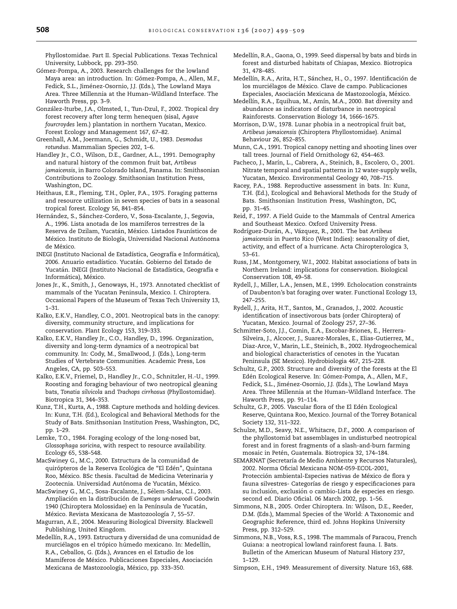<span id="page-9-0"></span>Phyllostomidae. Part II. Special Publications. Texas Technical University, Lubbock, pp. 293–350.

- Gómez-Pompa, A., 2003. Research challenges for the lowland Maya area: an introduction. In: Gómez-Pompa, A., Allen, M.F., Fedick, S.L., Jiménez-Osornio, J.J. (Eds.), The Lowland Maya Area. Three Millennia at the Human–Wildland Interface. The Haworth Press, pp. 3–9.
- González-Iturbe, J.A., Olmsted, I., Tun-Dzul, F., 2002. Tropical dry forest recovery after long term henequen (sisal, Agave fourcroydes lem.) plantation in northern Yucatan, Mexico. Forest Ecology and Management 167, 67–82.
- Greenhall, A.M., Joermann, G., Schmidt, U., 1983. Desmodus rotundus. Mammalian Species 202, 1–6.
- Handley Jr., C.O., Wilson, D.E., Gardner, A.L., 1991. Demography and natural history of the common fruit bat, Artibeus jamaicensis, in Barro Colorado Island, Panama. In: Smithsonian Contributions to Zoology. Smithsonian Institution Press, Washington, DC.
- Heithaus, E.R., Fleming, T.H., Opler, P.A., 1975. Foraging patterns and resource utilization in seven species of bats in a seasonal tropical forest. Ecology 56, 841–854.
- Hernández, S., Sánchez-Cordero, V., Sosa-Escalante, J., Segovia, A., 1996. Lista anotada de los mamíferos terrestres de la Reserva de Dzilam, Yucatán, México. Listados Faunísticos de México. Instituto de Biología, Universidad Nacional Autónoma de México.
- INEGI (Instituto Nacional de Estadística, Geografía e Informática), 2006. Anuario estadístico. Yucatán. Gobierno del Estado de Yucatán. INEGI (Instituto Nacional de Estadística, Geografía e Informática), México.
- Jones Jr., K., Smith, J., Genoways, H., 1973. Annotated checklist of mammals of the Yucatan Peninsula, Mexico. I. Chiroptera. Occasional Papers of the Museum of Texas Tech University 13, 1–31.
- Kalko, E.K.V., Handley, C.O., 2001. Neotropical bats in the canopy: diversity, community structure, and implications for conservation. Plant Ecology 153, 319–333.
- Kalko, E.K.V., Handley Jr., C.O., Handley, D., 1996. Organization, diversity and long-term dynamics of a neotropical bat community. In: Cody, M., Smallwood, J. (Eds.), Long-term Studies of Vertebrate Communities. Academic Press, Los Angeles, CA, pp. 503–553.
- Kalko, E.K.V., Friemel, D., Handley Jr., C.O., Schnitzler, H.-U., 1999. Roosting and foraging behaviour of two neotropical gleaning bats, Tonatia silvicola and Trachops cirrhosus (Phyllostomidae). Biotropica 31, 344–353.
- Kunz, T.H., Kurta, A., 1988. Capture methods and holding devices. In: Kunz, T.H. (Ed.), Ecological and Behavioral Methods for the Study of Bats. Smithsonian Institution Press, Washington, DC, pp. 1–29.
- Lemke, T.O., 1984. Foraging ecology of the long-nosed bat, Glossophaga soricina, with respect to resource availability. Ecology 65, 538–548.
- MacSwiney G., M.C., 2000. Estructura de la comunidad de quirópteros de la Reserva Ecológica de "El Edén", Quintana Roo, México. BSc thesis. Facultad de Medicina Veterinaria y Zootecnia. Universidad Autónoma de Yucatán, México.
- MacSwiney G., M.C., Sosa-Escalante, J., Sélem-Salas, C.I., 2003. Ampliación en la distribución de Eumops underwoodi Goodwin 1940 (Chiroptera Molossidae) en la Península de Yucatán, México. Revista Mexicana de Mastozoología 7, 55–57.
- Magurran, A.E., 2004. Measuring Biological Diversity. Blackwell Publishing, United Kingdom.
- Medellı´n, R.A., 1993. Estructura y diversidad de una comunidad de murciélagos en el trópico húmedo mexicano. In: Medellín, R.A., Ceballos, G. (Eds.), Avances en el Estudio de los Mamíferos de México. Publicaciones Especiales, Asociación Mexicana de Mastozoología, México, pp. 333-350.
- Medellín, R.A., Gaona, O., 1999. Seed dispersal by bats and birds in forest and disturbed habitats of Chiapas, Mexico. Biotropica 31, 478–485.
- Medellín, R.A., Arita, H.T., Sánchez, H., O., 1997. Identificación de los murciélagos de México. Clave de campo. Publicaciones Especiales, Asociación Mexicana de Mastozoología, México.
- Medellín, R.A., Equihua, M., Amín, M.A., 2000. Bat diversity and abundance as indicators of disturbance in neotropical Rainforests. Conservation Biology 14, 1666–1675.
- Morrison, D.W., 1978. Lunar phobia in a neotropical fruit bat, Artibeus jamaicensis (Chiroptera Phyllostomidae). Animal Behaviour 26, 852–855.
- Munn, C.A., 1991. Tropical canopy netting and shooting lines over tall trees. Journal of Field Ornithology 62, 454–463.
- Pacheco, J., Marín, L., Cabrera, A., Steinich, B., Escolero, O., 2001. Nitrate temporal and spatial patterns in 12 water-supply wells, Yucatan, Mexico. Environmental Geology 40, 708–715.
- Racey, P.A., 1988. Reproductive assessment in bats. In: Kunz, T.H. (Ed.), Ecological and Behavioral Methods for the Study of Bats. Smithsonian Institution Press, Washington, DC, pp. 31–45.
- Reid, F., 1997. A Field Guide to the Mammals of Central America and Southeast Mexico. Oxford University Press.
- Rodríguez-Durán, A., Vázquez, R., 2001. The bat Artibeus jamaicensis in Puerto Rico (West Indies): seasonality of diet, activity, and effect of a hurricane. Acta Chiropterologica 3, 53–61.
- Russ, J.M., Montgomery, W.I., 2002. Habitat associations of bats in Northern Ireland: implications for conservation. Biological Conservation 108, 49–58.
- Rydell, J., Miller, L.A., Jensen, M.E., 1999. Echolocation constraints of Daubenton's bat foraging over water. Functional Ecology 13, 247–255.
- Rydell, J., Arita, H.T., Santos, M., Granados, J., 2002. Acoustic identification of insectivorous bats (order Chiroptera) of Yucatan, Mexico. Journal of Zoology 257, 27–36.
- Schmitter-Soto, J.J., Comin, E.A., Escobar-Briones, E., Herrera-Silveira, J., Alcocer, J., Suarez-Morales, E., Elias-Gutierrez, M., Diaz-Arce, V., Marin, L.E., Steinich, B., 2002. Hydrogeochemical and biological characteristics of cenotes in the Yucatan Peninsula (SE Mexico). Hydrobiologia 467, 215–228.
- Schultz, G.P., 2003. Structure and diversity of the forests at the El Edén Ecological Reserve. In: Gómez-Pompa, A., Allen, M.F., Fedick, S.L., Jiménez-Osornio, J.J. (Eds.), The Lowland Maya Area. Three Millennia at the Human–Wildland Interface. The Haworth Press, pp. 91–114.
- Schultz, G.P., 2005. Vascular flora of the El Edén Ecological Reserve, Quintana Roo, Mexico. Journal of the Torrey Botanical Society 132, 311–322.
- Schulze, M.D., Seavy, N.E., Whitacre, D.F., 2000. A comparison of the phyllostomid bat assemblages in undisturbed neotropical forest and in forest fragments of a slash-and-burn farming mosaic in Petén, Guatemala. Biotropica 32, 174–184.
- SEMARNAT (Secretaría de Medio Ambiente y Recursos Naturales), 2002. Norma Oficial Mexicana NOM-059-ECOL-2001, Protección ambiental-Especies nativas de México de flora y fauna silvestres- Categorías de riesgo y especificaciones para su inclusión, exclusión o cambio-Lista de especies en riesgo. second ed. Diario Oficial. 06 March 2002, pp. 1–56.
- Simmons, N.B., 2005. Order Chiroptera. In: Wilson, D.E., Reeder, D.M. (Eds.), Mammal Species of the World: A Taxonomic and Geographic Reference, third ed. Johns Hopkins University Press, pp. 312–529.
- Simmons, N.B., Voss, R.S., 1998. The mammals of Paracou, French Guiana: a neotropical lowland rainforest fauna. I. Bats. Bulletin of the American Museum of Natural History 237, 1–129.
- Simpson, E.H., 1949. Measurement of diversity. Nature 163, 688.